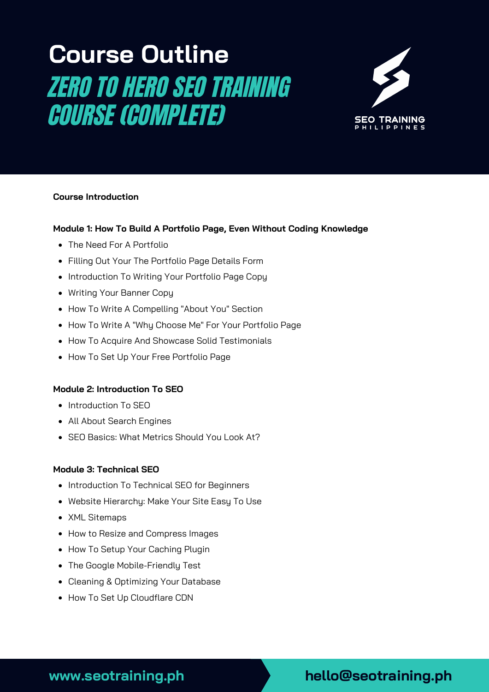# **Course Outline** ZERO TO HERO SEO TRAINING COURSE (COMPLETE)



#### **Course Introduction**

#### **Module 1: How To Build A Portfolio Page, Even Without Coding Knowledge**

- The Need For A Portfolio
- Filling Out Your The Portfolio Page Details Form
- Introduction To Writing Your Portfolio Page Copy
- Writing Your Banner Copy
- How To Write A Compelling "About You" Section
- How To Write A "Why Choose Me" For Your Portfolio Page
- How To Acquire And Showcase Solid Testimonials
- How To Set Up Your Free Portfolio Page

#### **Module 2: Introduction To SEO**

- Introduction To SEO
- All About Search Engines
- SEO Basics: What Metrics Should You Look At?

#### **Module 3: Technical SEO**

- Introduction To Technical SEO for Beginners
- Website Hierarchy: Make Your Site Easy To Use
- XML Sitemaps
- How to Resize and Compress Images
- How To Setup Your Caching Plugin
- The Google Mobile-Friendly Test
- Cleaning & Optimizing Your Database
- How To Set Up Cloudflare CDN

# **www.seotraining.ph hello@seotraining.ph**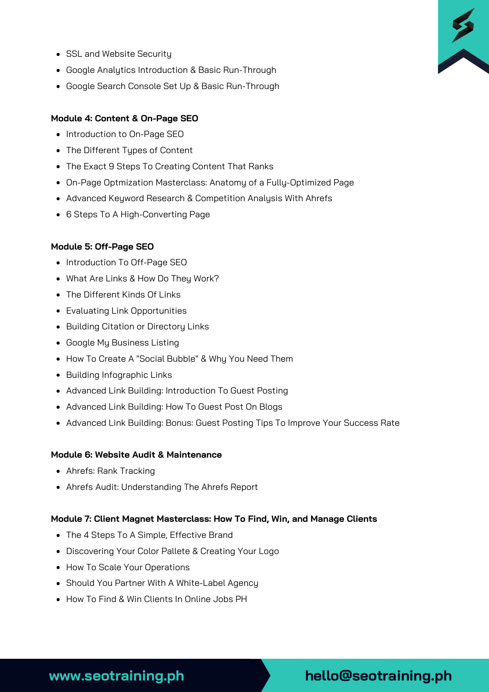- SSL and Website Security
- Google Analytics Introduction & Basic Run-Through
- Google Search Console Set Up & Basic Run-Through

#### **Module 4: Content & On-Page SEO**

- Introduction to On-Page SEO
- The Different Types of Content
- The Exact 9 Steps To Creating Content That Ranks
- On-Page Optmization Masterclass: Anatomy of a Fully-Optimized Page
- Advanced Keyword Research & Competition Analysis With Ahrefs
- 6 Steps To A High-Converting Page

#### **Module 5: Off-Page SEO**

- Introduction To Off-Page SEO
- What Are Links & How Do They Work?
- The Different Kinds Of Links
- Evaluating Link Opportunities
- Building Citation or Directory Links
- Google My Business Listing
- How To Create A "Social Bubble" & Why You Need Them
- Building Infographic Links
- Advanced Link Building: Introduction To Guest Posting
- Advanced Link Building: How To Guest Post On Blogs
- Advanced Link Building: Bonus: Guest Posting Tips To Improve Your Success Rate

#### **Module 6: Website Audit & Maintenance**

- Ahrefs: Rank Tracking
- Ahrefs Audit: Understanding The Ahrefs Report

#### **Module 7: Client Magnet Masterclass: How To Find, Win, and Manage Clients**

- The 4 Steps To A Simple, Effective Brand
- Discovering Your Color Pallete & Creating Your Logo
- How To Scale Your Operations
- Should You Partner With A White-Label Agency
- How To Find & Win Clients In Online Jobs PH



# **www.seotraining.ph hello@seotraining.ph**